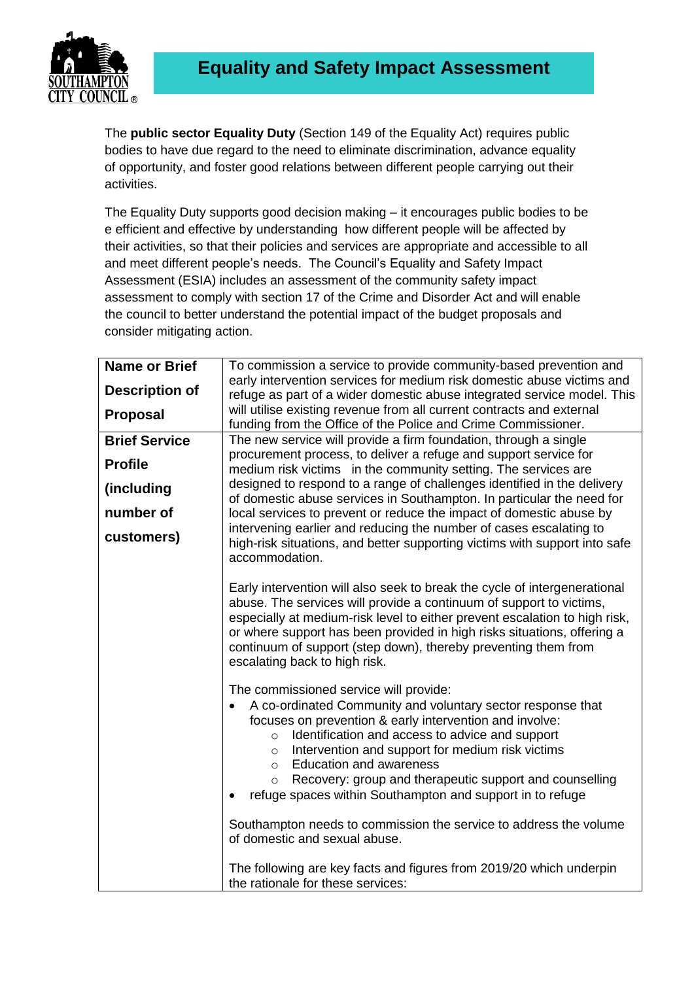

The **public sector Equality Duty** (Section 149 of the Equality Act) requires public bodies to have due regard to the need to eliminate discrimination, advance equality of opportunity, and foster good relations between different people carrying out their activities.

The Equality Duty supports good decision making – it encourages public bodies to be e efficient and effective by understanding how different people will be affected by their activities, so that their policies and services are appropriate and accessible to all and meet different people's needs. The Council's Equality and Safety Impact Assessment (ESIA) includes an assessment of the community safety impact assessment to comply with section 17 of the Crime and Disorder Act and will enable the council to better understand the potential impact of the budget proposals and consider mitigating action.

| <b>Name or Brief</b>  | To commission a service to provide community-based prevention and                                                                                 |
|-----------------------|---------------------------------------------------------------------------------------------------------------------------------------------------|
| <b>Description of</b> | early intervention services for medium risk domestic abuse victims and<br>refuge as part of a wider domestic abuse integrated service model. This |
| <b>Proposal</b>       | will utilise existing revenue from all current contracts and external                                                                             |
|                       | funding from the Office of the Police and Crime Commissioner.                                                                                     |
| <b>Brief Service</b>  | The new service will provide a firm foundation, through a single                                                                                  |
| <b>Profile</b>        | procurement process, to deliver a refuge and support service for                                                                                  |
|                       | medium risk victims in the community setting. The services are<br>designed to respond to a range of challenges identified in the delivery         |
| (including            | of domestic abuse services in Southampton. In particular the need for                                                                             |
| number of             | local services to prevent or reduce the impact of domestic abuse by                                                                               |
|                       | intervening earlier and reducing the number of cases escalating to                                                                                |
| customers)            | high-risk situations, and better supporting victims with support into safe                                                                        |
|                       | accommodation.                                                                                                                                    |
|                       |                                                                                                                                                   |
|                       | Early intervention will also seek to break the cycle of intergenerational<br>abuse. The services will provide a continuum of support to victims,  |
|                       | especially at medium-risk level to either prevent escalation to high risk,                                                                        |
|                       | or where support has been provided in high risks situations, offering a                                                                           |
|                       | continuum of support (step down), thereby preventing them from                                                                                    |
|                       | escalating back to high risk.                                                                                                                     |
|                       | The commissioned service will provide:                                                                                                            |
|                       | A co-ordinated Community and voluntary sector response that                                                                                       |
|                       | focuses on prevention & early intervention and involve:                                                                                           |
|                       | Identification and access to advice and support<br>$\circ$                                                                                        |
|                       | Intervention and support for medium risk victims<br>$\circ$                                                                                       |
|                       | <b>Education and awareness</b><br>$\circ$                                                                                                         |
|                       | Recovery: group and therapeutic support and counselling<br>$\circ$                                                                                |
|                       | refuge spaces within Southampton and support in to refuge                                                                                         |
|                       | Southampton needs to commission the service to address the volume                                                                                 |
|                       | of domestic and sexual abuse.                                                                                                                     |
|                       |                                                                                                                                                   |
|                       | The following are key facts and figures from 2019/20 which underpin                                                                               |
|                       | the rationale for these services:                                                                                                                 |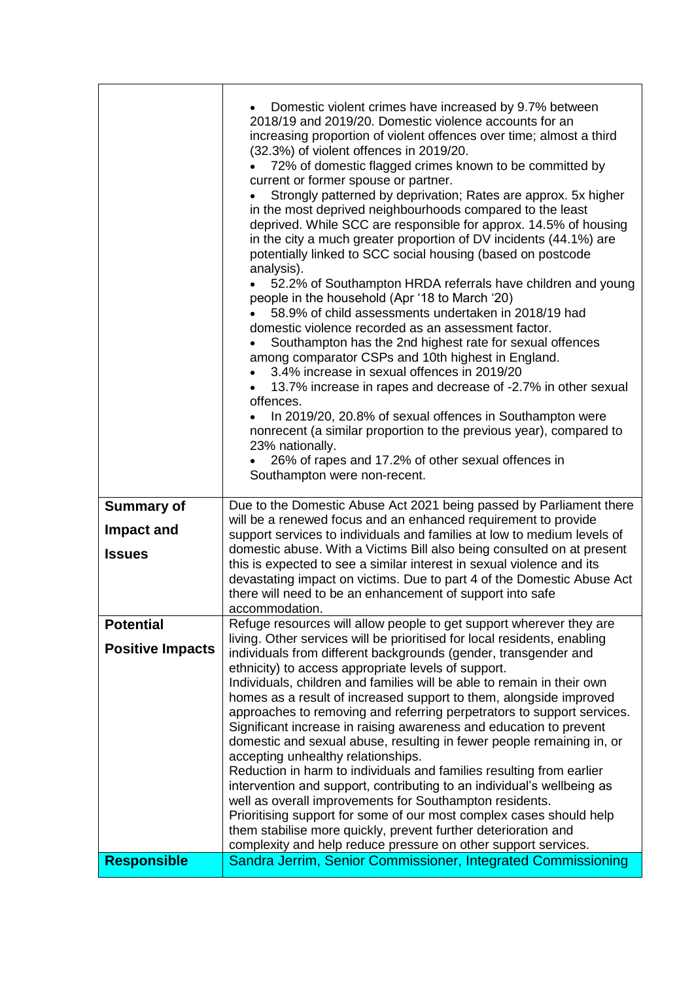|                         | Domestic violent crimes have increased by 9.7% between<br>2018/19 and 2019/20. Domestic violence accounts for an<br>increasing proportion of violent offences over time; almost a third<br>(32.3%) of violent offences in 2019/20.<br>72% of domestic flagged crimes known to be committed by<br>current or former spouse or partner.<br>Strongly patterned by deprivation; Rates are approx. 5x higher<br>in the most deprived neighbourhoods compared to the least<br>deprived. While SCC are responsible for approx. 14.5% of housing<br>in the city a much greater proportion of DV incidents (44.1%) are<br>potentially linked to SCC social housing (based on postcode<br>analysis).<br>52.2% of Southampton HRDA referrals have children and young<br>people in the household (Apr '18 to March '20)<br>58.9% of child assessments undertaken in 2018/19 had<br>domestic violence recorded as an assessment factor.<br>Southampton has the 2nd highest rate for sexual offences<br>among comparator CSPs and 10th highest in England.<br>3.4% increase in sexual offences in 2019/20<br>13.7% increase in rapes and decrease of -2.7% in other sexual<br>offences.<br>In 2019/20, 20.8% of sexual offences in Southampton were<br>nonrecent (a similar proportion to the previous year), compared to<br>23% nationally.<br>26% of rapes and 17.2% of other sexual offences in<br>Southampton were non-recent. |
|-------------------------|----------------------------------------------------------------------------------------------------------------------------------------------------------------------------------------------------------------------------------------------------------------------------------------------------------------------------------------------------------------------------------------------------------------------------------------------------------------------------------------------------------------------------------------------------------------------------------------------------------------------------------------------------------------------------------------------------------------------------------------------------------------------------------------------------------------------------------------------------------------------------------------------------------------------------------------------------------------------------------------------------------------------------------------------------------------------------------------------------------------------------------------------------------------------------------------------------------------------------------------------------------------------------------------------------------------------------------------------------------------------------------------------------------------------|
| <b>Summary of</b>       | Due to the Domestic Abuse Act 2021 being passed by Parliament there                                                                                                                                                                                                                                                                                                                                                                                                                                                                                                                                                                                                                                                                                                                                                                                                                                                                                                                                                                                                                                                                                                                                                                                                                                                                                                                                                  |
| Impact and              | will be a renewed focus and an enhanced requirement to provide<br>support services to individuals and families at low to medium levels of                                                                                                                                                                                                                                                                                                                                                                                                                                                                                                                                                                                                                                                                                                                                                                                                                                                                                                                                                                                                                                                                                                                                                                                                                                                                            |
| <b>Issues</b>           | domestic abuse. With a Victims Bill also being consulted on at present                                                                                                                                                                                                                                                                                                                                                                                                                                                                                                                                                                                                                                                                                                                                                                                                                                                                                                                                                                                                                                                                                                                                                                                                                                                                                                                                               |
|                         | this is expected to see a similar interest in sexual violence and its<br>devastating impact on victims. Due to part 4 of the Domestic Abuse Act                                                                                                                                                                                                                                                                                                                                                                                                                                                                                                                                                                                                                                                                                                                                                                                                                                                                                                                                                                                                                                                                                                                                                                                                                                                                      |
|                         | there will need to be an enhancement of support into safe                                                                                                                                                                                                                                                                                                                                                                                                                                                                                                                                                                                                                                                                                                                                                                                                                                                                                                                                                                                                                                                                                                                                                                                                                                                                                                                                                            |
| <b>Potential</b>        | accommodation.<br>Refuge resources will allow people to get support wherever they are                                                                                                                                                                                                                                                                                                                                                                                                                                                                                                                                                                                                                                                                                                                                                                                                                                                                                                                                                                                                                                                                                                                                                                                                                                                                                                                                |
| <b>Positive Impacts</b> | living. Other services will be prioritised for local residents, enabling<br>individuals from different backgrounds (gender, transgender and<br>ethnicity) to access appropriate levels of support.                                                                                                                                                                                                                                                                                                                                                                                                                                                                                                                                                                                                                                                                                                                                                                                                                                                                                                                                                                                                                                                                                                                                                                                                                   |
|                         | Individuals, children and families will be able to remain in their own<br>homes as a result of increased support to them, alongside improved                                                                                                                                                                                                                                                                                                                                                                                                                                                                                                                                                                                                                                                                                                                                                                                                                                                                                                                                                                                                                                                                                                                                                                                                                                                                         |
|                         | approaches to removing and referring perpetrators to support services.                                                                                                                                                                                                                                                                                                                                                                                                                                                                                                                                                                                                                                                                                                                                                                                                                                                                                                                                                                                                                                                                                                                                                                                                                                                                                                                                               |
|                         | Significant increase in raising awareness and education to prevent<br>domestic and sexual abuse, resulting in fewer people remaining in, or                                                                                                                                                                                                                                                                                                                                                                                                                                                                                                                                                                                                                                                                                                                                                                                                                                                                                                                                                                                                                                                                                                                                                                                                                                                                          |
|                         | accepting unhealthy relationships.                                                                                                                                                                                                                                                                                                                                                                                                                                                                                                                                                                                                                                                                                                                                                                                                                                                                                                                                                                                                                                                                                                                                                                                                                                                                                                                                                                                   |
|                         | Reduction in harm to individuals and families resulting from earlier<br>intervention and support, contributing to an individual's wellbeing as                                                                                                                                                                                                                                                                                                                                                                                                                                                                                                                                                                                                                                                                                                                                                                                                                                                                                                                                                                                                                                                                                                                                                                                                                                                                       |
|                         | well as overall improvements for Southampton residents.                                                                                                                                                                                                                                                                                                                                                                                                                                                                                                                                                                                                                                                                                                                                                                                                                                                                                                                                                                                                                                                                                                                                                                                                                                                                                                                                                              |
|                         | Prioritising support for some of our most complex cases should help<br>them stabilise more quickly, prevent further deterioration and                                                                                                                                                                                                                                                                                                                                                                                                                                                                                                                                                                                                                                                                                                                                                                                                                                                                                                                                                                                                                                                                                                                                                                                                                                                                                |
|                         | complexity and help reduce pressure on other support services.                                                                                                                                                                                                                                                                                                                                                                                                                                                                                                                                                                                                                                                                                                                                                                                                                                                                                                                                                                                                                                                                                                                                                                                                                                                                                                                                                       |
| <b>Responsible</b>      | Sandra Jerrim, Senior Commissioner, Integrated Commissioning                                                                                                                                                                                                                                                                                                                                                                                                                                                                                                                                                                                                                                                                                                                                                                                                                                                                                                                                                                                                                                                                                                                                                                                                                                                                                                                                                         |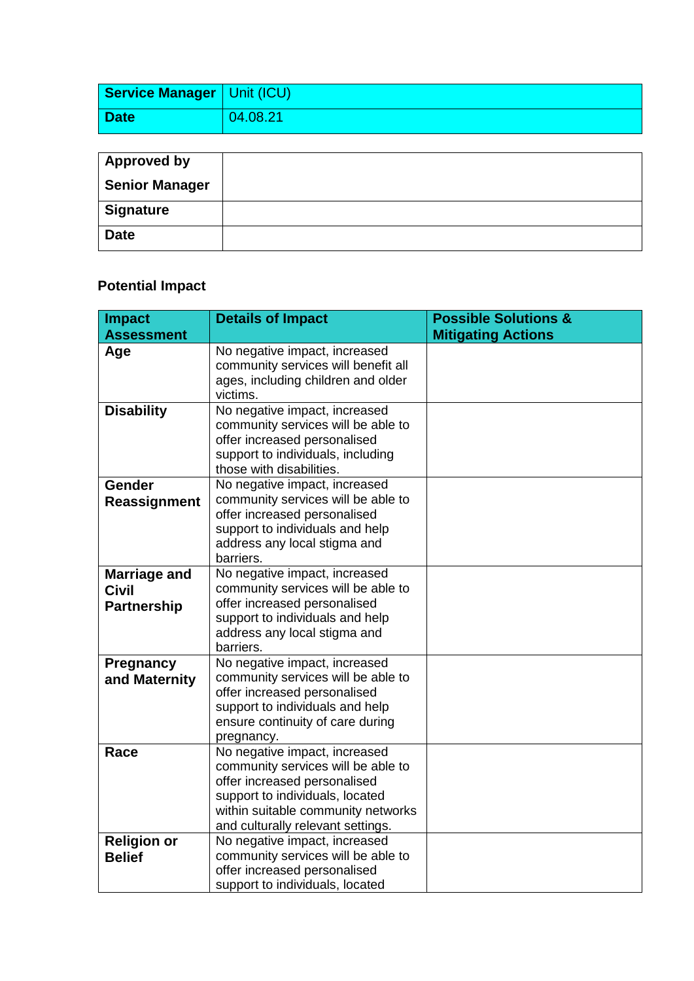| <b>Service Manager   Unit (ICU)</b> |          |
|-------------------------------------|----------|
| Date                                | 04.08.21 |

| <b>Approved by</b>    |  |
|-----------------------|--|
| <b>Senior Manager</b> |  |
| <b>Signature</b>      |  |
| <b>Date</b>           |  |

## **Potential Impact**

| <b>Impact</b>                                             | <b>Details of Impact</b>                                                                                                                                                                                          | <b>Possible Solutions &amp;</b> |
|-----------------------------------------------------------|-------------------------------------------------------------------------------------------------------------------------------------------------------------------------------------------------------------------|---------------------------------|
| <b>Assessment</b>                                         |                                                                                                                                                                                                                   | <b>Mitigating Actions</b>       |
| Age                                                       | No negative impact, increased<br>community services will benefit all<br>ages, including children and older<br>victims.                                                                                            |                                 |
| <b>Disability</b>                                         | No negative impact, increased<br>community services will be able to<br>offer increased personalised<br>support to individuals, including<br>those with disabilities.                                              |                                 |
| Gender<br>Reassignment                                    | No negative impact, increased<br>community services will be able to<br>offer increased personalised<br>support to individuals and help<br>address any local stigma and<br>barriers.                               |                                 |
| <b>Marriage and</b><br><b>Civil</b><br><b>Partnership</b> | No negative impact, increased<br>community services will be able to<br>offer increased personalised<br>support to individuals and help<br>address any local stigma and<br>barriers.                               |                                 |
| Pregnancy<br>and Maternity                                | No negative impact, increased<br>community services will be able to<br>offer increased personalised<br>support to individuals and help<br>ensure continuity of care during<br>pregnancy.                          |                                 |
| Race                                                      | No negative impact, increased<br>community services will be able to<br>offer increased personalised<br>support to individuals, located<br>within suitable community networks<br>and culturally relevant settings. |                                 |
| <b>Religion or</b><br><b>Belief</b>                       | No negative impact, increased<br>community services will be able to<br>offer increased personalised<br>support to individuals, located                                                                            |                                 |